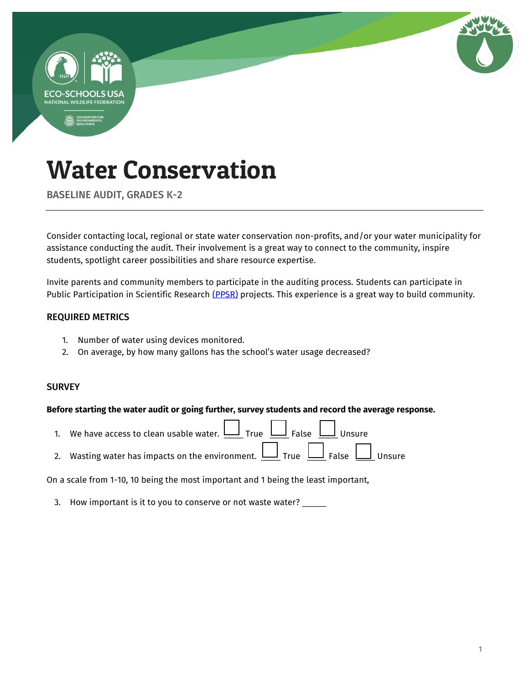

BASELINE AUDIT, GRADES K-2

Consider contacting local, regional or state water conservation non-profits, and/or your water municipality for assistance conducting the audit. Their involvement is a great way to connect to the community, inspire students, spotlight career possibilities and share resource expertise.

Invite parents and community members to participate in the auditing process. Students can participate in Public Participation in Scientific Research [\(PPSR\)](https://en.wikipedia.org/wiki/Citizen_science) projects. This experience is a great way to build community.

#### REQUIRED METRICS

- 1. Number of water using devices monitored.
- 2. On average, by how many gallons has the school's water usage decreased?

### **SURVEY**

#### **Before starting the water audit or going further, survey students and record the average response.**

- 1. We have access to clean usable water.  $\Box$  True  $\Box$  False  $\Box$  Unsure
- 2. Wasting water has impacts on the environment.  $\Box$  True  $\Box$  False  $\Box$  Unsure

On a scale from 1-10, 10 being the most important and 1 being the least important,

3. How important is it to you to conserve or not waste water? \_\_\_\_\_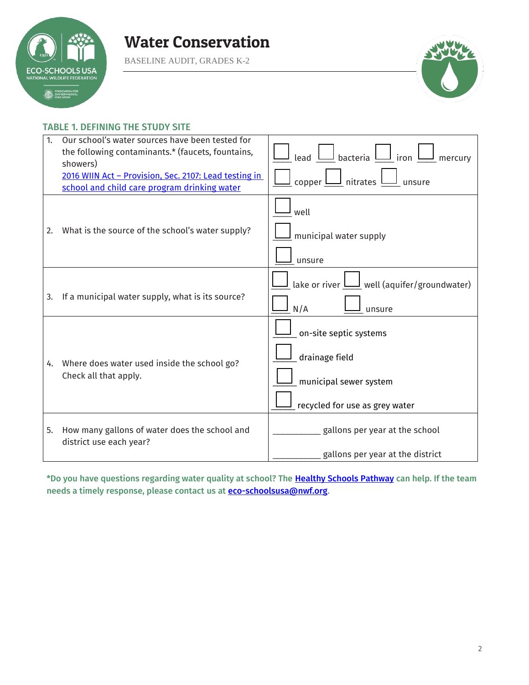

BASELINE AUDIT, GRADES K-2



### TABLE 1. DEFINING THE STUDY SITE

| $\mathbf{1}$ | Our school's water sources have been tested for<br>the following contaminants.* (faucets, fountains,<br>showers)<br>2016 WIIN Act - Provision, Sec. 2107: Lead testing in<br>school and child care program drinking water | J <sub>bacteria</sub> L<br>$lead$ L<br>J iron<br>mercury<br>copper $\boxed{\phantom{a}}$ nitrates $\boxed{\phantom{a}}$<br>unsure |
|--------------|---------------------------------------------------------------------------------------------------------------------------------------------------------------------------------------------------------------------------|-----------------------------------------------------------------------------------------------------------------------------------|
| 2.           | What is the source of the school's water supply?                                                                                                                                                                          | well<br>municipal water supply<br>unsure                                                                                          |
| 3.           | If a municipal water supply, what is its source?                                                                                                                                                                          | lake or river $\bigsqcup$ well (aquifer/groundwater)<br>N/A<br>unsure                                                             |
| 4.           | Where does water used inside the school go?<br>Check all that apply.                                                                                                                                                      | on-site septic systems<br>drainage field<br>municipal sewer system<br>recycled for use as grey water                              |
| 5.           | How many gallons of water does the school and<br>district use each year?                                                                                                                                                  | gallons per year at the school<br>gallons per year at the district                                                                |

\*Do you have questions regarding water quality at school? The Healthy Schools Pathway can help. If the team needs a timely response, please contact us at **eco-schoolsusa@nwf.org**.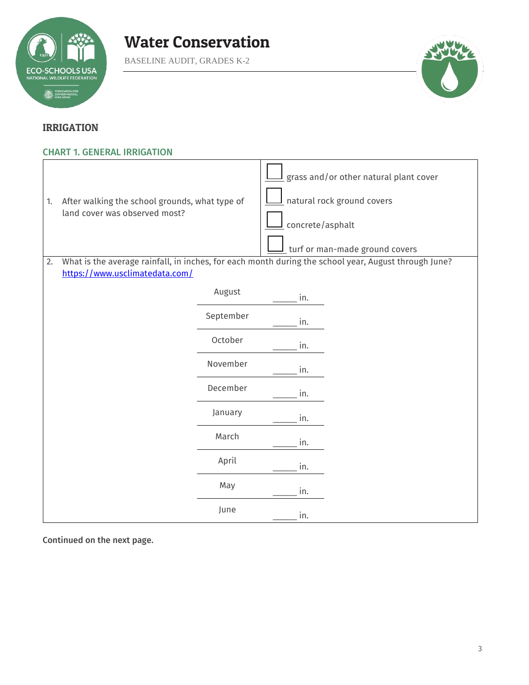

BASELINE AUDIT, GRADES K-2



### IRRIGATION

### CHART 1. GENERAL IRRIGATION

| 1. | After walking the school grounds, what type of<br>land cover was observed most?                                                        |           | concrete/asphalt | grass and/or other natural plant cover<br>$\mathsf I$ natural rock ground covers<br>turf or man-made ground covers |
|----|----------------------------------------------------------------------------------------------------------------------------------------|-----------|------------------|--------------------------------------------------------------------------------------------------------------------|
| 2. | What is the average rainfall, in inches, for each month during the school year, August through June?<br>https://www.usclimatedata.com/ |           |                  |                                                                                                                    |
|    |                                                                                                                                        | August    | in.              |                                                                                                                    |
|    |                                                                                                                                        | September | in.              |                                                                                                                    |
|    |                                                                                                                                        | October   | in.              |                                                                                                                    |
|    |                                                                                                                                        | November  | in.              |                                                                                                                    |
|    |                                                                                                                                        | December  | in.              |                                                                                                                    |
|    |                                                                                                                                        | January   | in.              |                                                                                                                    |
|    |                                                                                                                                        | March     | in.              |                                                                                                                    |
|    |                                                                                                                                        | April     | in.              |                                                                                                                    |
|    |                                                                                                                                        | May       | in.              |                                                                                                                    |
|    |                                                                                                                                        | June      | in.              |                                                                                                                    |

Continued on the next page.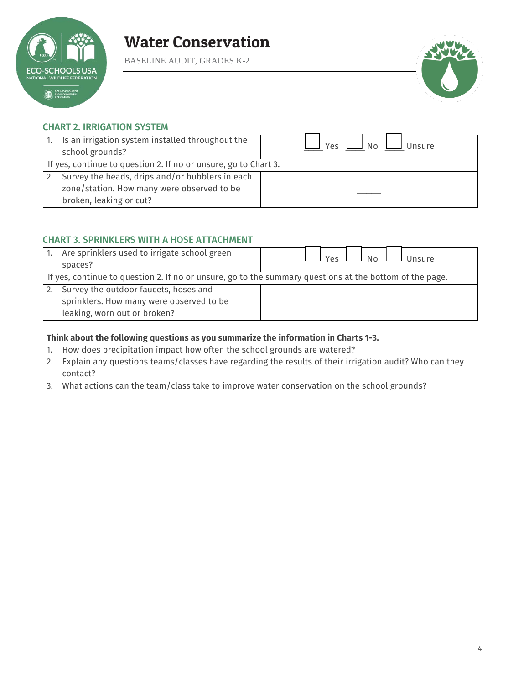

BASELINE AUDIT, GRADES K-2



### CHART 2. IRRIGATION SYSTEM

|    | Is an irrigation system installed throughout the<br>school grounds? | N <sub>0</sub><br>Yes<br>Unsure |
|----|---------------------------------------------------------------------|---------------------------------|
|    | If yes, continue to question 2. If no or unsure, go to Chart 3.     |                                 |
| 2. | Survey the heads, drips and/or bubblers in each                     |                                 |
|    | zone/station. How many were observed to be                          |                                 |
|    | broken, leaking or cut?                                             |                                 |

### CHART 3. SPRINKLERS WITH A HOSE ATTACHMENT

| 1. Are sprinklers used to irrigate school green<br>spaces?                                              | <b>No</b><br>Unsure<br>Yes |
|---------------------------------------------------------------------------------------------------------|----------------------------|
| If yes, continue to question 2. If no or unsure, go to the summary questions at the bottom of the page. |                            |
| 2. Survey the outdoor faucets, hoses and                                                                |                            |
| sprinklers. How many were observed to be                                                                |                            |
| leaking, worn out or broken?                                                                            |                            |

### **Think about the following questions as you summarize the information in Charts 1-3.**

- 1. How does precipitation impact how often the school grounds are watered?
- 2. Explain any questions teams/classes have regarding the results of their irrigation audit? Who can they contact?
- 3. What actions can the team/class take to improve water conservation on the school grounds?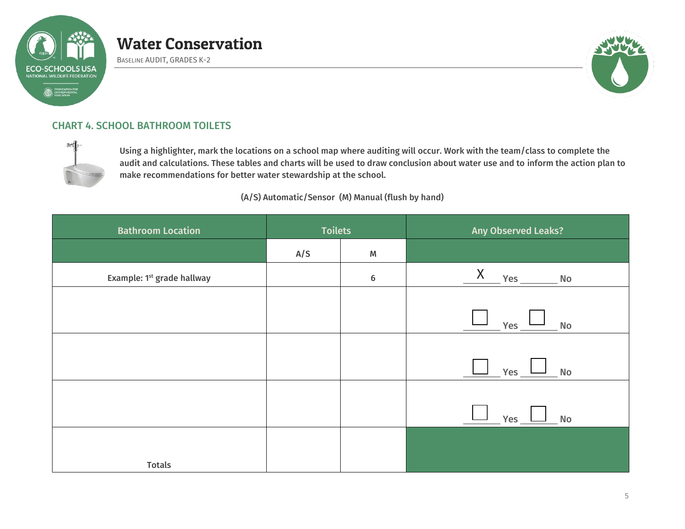

BASELINE AUDIT, GRADES K-2



### CHART 4. SCHOOL BATHROOM TOILETS



Using a highlighter, mark the locations on a school map where auditing will occur. Work with the team/class to complete the audit and calculations. These tables and charts will be used to draw conclusion about water use and to inform the action plan to make recommendations for better water stewardship at the school.

(A/S) Automatic/Sensor (M) Manual (flush by hand)

| <b>Bathroom Location</b>               | <b>Toilets</b> |         | Any Observed Leaks?         |  |
|----------------------------------------|----------------|---------|-----------------------------|--|
|                                        | A/S            | M       |                             |  |
| Example: 1 <sup>st</sup> grade hallway |                | $\bf 6$ | X<br>Yes _____<br><b>No</b> |  |
|                                        |                |         |                             |  |
|                                        |                |         | Yes<br>No                   |  |
|                                        |                |         |                             |  |
|                                        |                |         | $Yes_$<br>No.               |  |
|                                        |                |         |                             |  |
|                                        |                |         | $Yes_$<br>No                |  |
|                                        |                |         |                             |  |
| <b>Totals</b>                          |                |         |                             |  |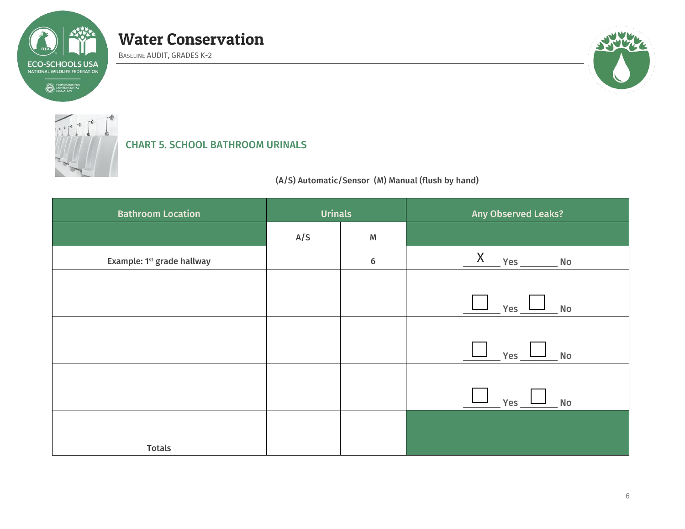

BASELINE AUDIT, GRADES K-2



## CHART 5. SCHOOL BATHROOM URINALS

(A/S) Automatic/Sensor (M) Manual (flush by hand)

| <b>Bathroom Location</b>               | <b>Urinals</b> |         | Any Observed Leaks?                       |  |
|----------------------------------------|----------------|---------|-------------------------------------------|--|
|                                        | A/S            | M       |                                           |  |
| Example: 1 <sup>st</sup> grade hallway |                | $\bf 6$ | X<br>Yes<br>No.                           |  |
|                                        |                |         |                                           |  |
|                                        |                |         | Yes $\_$<br>No                            |  |
|                                        |                |         |                                           |  |
|                                        |                |         | $\overline{\phantom{a}}$ No<br>Yes $\_\_$ |  |
|                                        |                |         |                                           |  |
|                                        |                |         | $\overline{\phantom{a}}$ No<br>Yes $\_\_$ |  |
|                                        |                |         |                                           |  |
| <b>Totals</b>                          |                |         |                                           |  |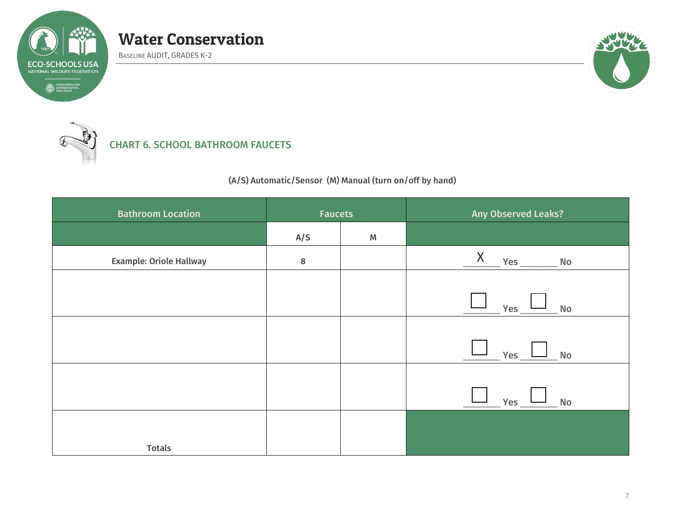

BASELINE AUDIT, GRADES K-2



CHART 6. SCHOOL BATHROOM FAUCETS

(A/S) Automatic/Sensor (M) Manual (turn on/off by hand)

| <b>Bathroom Location</b>       | <b>Faucets</b> |           | <b>Any Observed Leaks?</b>          |  |
|--------------------------------|----------------|-----------|-------------------------------------|--|
|                                | A/S            | ${\sf M}$ |                                     |  |
| <b>Example: Oriole Hallway</b> | $\bf 8$        |           | X<br>Yes<br><b>No</b>               |  |
|                                |                |           |                                     |  |
|                                |                |           | <b>No</b><br>Yes $\_$               |  |
|                                |                |           |                                     |  |
|                                |                |           | Yes<br>$\overline{\phantom{a}}$ No  |  |
|                                |                |           |                                     |  |
|                                |                |           | Yes $\mathsf{\underline{I}}$<br>No. |  |
|                                |                |           |                                     |  |
| <b>Totals</b>                  |                |           |                                     |  |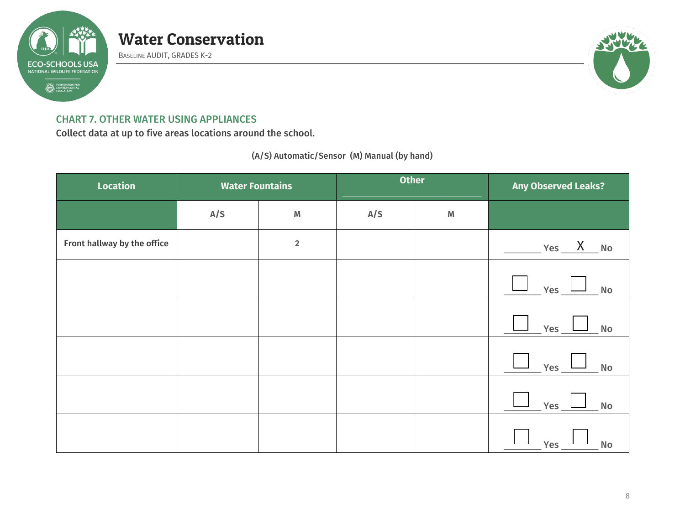

BASELINE AUDIT, GRADES K-2



### CHART 7. OTHER WATER USING APPLIANCES

Collect data at up to five areas locations around the school.

(A/S) Automatic/Sensor (M) Manual (by hand)

| <b>Location</b>             | <b>Water Fountains</b> |                         | <b>Other</b> |                    | <b>Any Observed Leaks?</b>  |
|-----------------------------|------------------------|-------------------------|--------------|--------------------|-----------------------------|
|                             | A/S                    | $\pmb{\mathsf{M}}$      | A/S          | $\pmb{\mathsf{M}}$ |                             |
| Front hallway by the office |                        | $\overline{\mathbf{2}}$ |              |                    | $Yes$ No                    |
|                             |                        |                         |              |                    | No.<br>Yes                  |
|                             |                        |                         |              |                    | Yes<br>$\mathsf{No}$        |
|                             |                        |                         |              |                    | <b>No</b><br>$Yes_$         |
|                             |                        |                         |              |                    | $\mathsf{No}$<br>Yes $_{-}$ |
|                             |                        |                         |              |                    | <b>Yes</b><br>No            |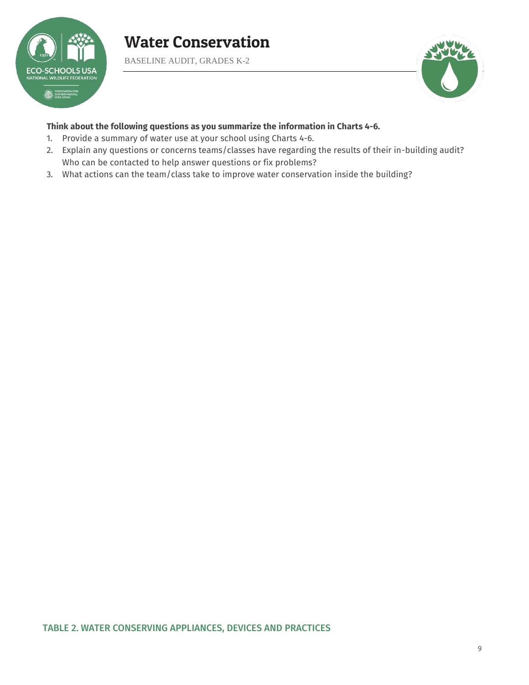

BASELINE AUDIT, GRADES K-2



### **Think about the following questions as you summarize the information in Charts 4-6.**

- 1. Provide a summary of water use at your school using Charts 4-6.
- 2. Explain any questions or concerns teams/classes have regarding the results of their in-building audit? Who can be contacted to help answer questions or fix problems?
- 3. What actions can the team/class take to improve water conservation inside the building?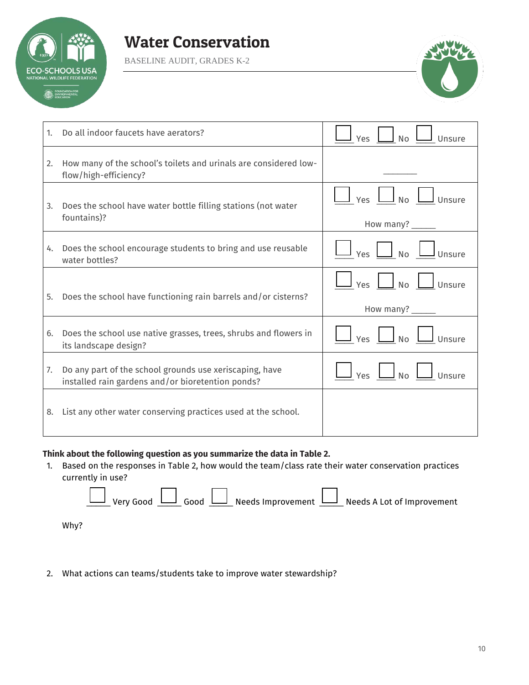

BASELINE AUDIT, GRADES K-2



| 1. | Do all indoor faucets have aerators?                                                                         | Unsure<br><b>No</b>                                                             |
|----|--------------------------------------------------------------------------------------------------------------|---------------------------------------------------------------------------------|
| 2. | How many of the school's toilets and urinals are considered low-<br>flow/high-efficiency?                    |                                                                                 |
| 3. | Does the school have water bottle filling stations (not water<br>fountains)?                                 | $\Box$ No $\Box$ Unsure<br>$\frac{1}{\sqrt{2}}$ Yes<br>How many? _____          |
| 4. | Does the school encourage students to bring and use reusable<br>water bottles?                               | $\Box$ Yes $\Box$ No $\Box$ Unsure                                              |
| 5. | Does the school have functioning rain barrels and/or cisterns?                                               | $\Box$ $\gamma$ es $\Box$ No $\Box$ Unsure<br>How many? $\_$                    |
| 6. | Does the school use native grasses, trees, shrubs and flowers in<br>its landscape design?                    | $\boxed{\phantom{a}}$ Yes $\boxed{\phantom{a}}$ No $\boxed{\phantom{a}}$ Unsure |
| 7. | Do any part of the school grounds use xeriscaping, have<br>installed rain gardens and/or bioretention ponds? | $\Box$ Yes $\Box$ No $\Box$ Unsure                                              |
| 8. | List any other water conserving practices used at the school.                                                |                                                                                 |

### **Think about the following question as you summarize the data in Table 2.**

1. Based on the responses in Table 2, how would the team/class rate their water conservation practices currently in use?



2. What actions can teams/students take to improve water stewardship?